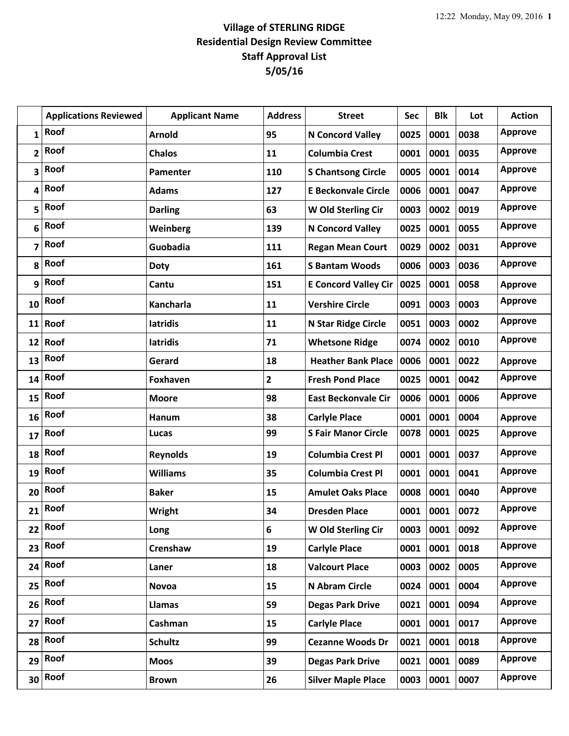|              | <b>Applications Reviewed</b> | <b>Applicant Name</b> | <b>Address</b> | <b>Street</b>               | Sec  | <b>Blk</b> | Lot  | <b>Action</b>  |
|--------------|------------------------------|-----------------------|----------------|-----------------------------|------|------------|------|----------------|
| $\mathbf{1}$ | Roof                         | <b>Arnold</b>         | 95             | <b>N Concord Valley</b>     | 0025 | 0001       | 0038 | <b>Approve</b> |
| 2            | Roof                         | <b>Chalos</b>         | 11             | <b>Columbia Crest</b>       | 0001 | 0001       | 0035 | <b>Approve</b> |
| 3            | Roof                         | Pamenter              | 110            | <b>S Chantsong Circle</b>   | 0005 | 0001       | 0014 | <b>Approve</b> |
| 4            | Roof                         | <b>Adams</b>          | 127            | <b>E Beckonvale Circle</b>  | 0006 | 0001       | 0047 | <b>Approve</b> |
| 5            | Roof                         | <b>Darling</b>        | 63             | W Old Sterling Cir          | 0003 | 0002       | 0019 | <b>Approve</b> |
| 6            | Roof                         | Weinberg              | 139            | <b>N Concord Valley</b>     | 0025 | 0001       | 0055 | <b>Approve</b> |
| 7            | Roof                         | Guobadia              | 111            | <b>Regan Mean Court</b>     | 0029 | 0002       | 0031 | <b>Approve</b> |
| 8            | Roof                         | <b>Doty</b>           | 161            | <b>S Bantam Woods</b>       | 0006 | 0003       | 0036 | <b>Approve</b> |
| 9            | Roof                         | Cantu                 | 151            | <b>E Concord Valley Cir</b> | 0025 | 0001       | 0058 | <b>Approve</b> |
| 10           | Roof                         | Kancharla             | 11             | <b>Vershire Circle</b>      | 0091 | 0003       | 0003 | <b>Approve</b> |
|              | 11 Roof                      | latridis              | 11             | N Star Ridge Circle         | 0051 | 0003       | 0002 | <b>Approve</b> |
| 12           | Roof                         | <b>latridis</b>       | 71             | <b>Whetsone Ridge</b>       | 0074 | 0002       | 0010 | <b>Approve</b> |
| 13           | Roof                         | Gerard                | 18             | <b>Heather Bank Place</b>   | 0006 | 0001       | 0022 | <b>Approve</b> |
| 14           | Roof                         | Foxhaven              | 2              | <b>Fresh Pond Place</b>     | 0025 | 0001       | 0042 | <b>Approve</b> |
| 15           | Roof                         | <b>Moore</b>          | 98             | <b>East Beckonvale Cir</b>  | 0006 | 0001       | 0006 | <b>Approve</b> |
| 16           | Roof                         | Hanum                 | 38             | <b>Carlyle Place</b>        | 0001 | 0001       | 0004 | <b>Approve</b> |
| 17           | Roof                         | Lucas                 | 99             | <b>S Fair Manor Circle</b>  | 0078 | 0001       | 0025 | <b>Approve</b> |
| 18           | Roof                         | <b>Reynolds</b>       | 19             | <b>Columbia Crest Pl</b>    | 0001 | 0001       | 0037 | <b>Approve</b> |
| 19           | Roof                         | <b>Williams</b>       | 35             | <b>Columbia Crest Pl</b>    | 0001 | 0001       | 0041 | <b>Approve</b> |
| 20           | Roof                         | <b>Baker</b>          | 15             | <b>Amulet Oaks Place</b>    | 0008 | 0001       | 0040 | <b>Approve</b> |
| 21           | Roof                         | <b>Wright</b>         | 34             | <b>Dresden Place</b>        | 0001 | 0001       | 0072 | <b>Approve</b> |
| 22           | Roof                         | Long                  | 6              | W Old Sterling Cir          | 0003 | 0001       | 0092 | <b>Approve</b> |
| 23           | Roof                         | Crenshaw              | 19             | <b>Carlyle Place</b>        | 0001 | 0001       | 0018 | <b>Approve</b> |
| 24           | Roof                         | Laner                 | 18             | <b>Valcourt Place</b>       | 0003 | 0002       | 0005 | <b>Approve</b> |
| 25           | Roof                         | <b>Novoa</b>          | 15             | N Abram Circle              | 0024 | 0001       | 0004 | <b>Approve</b> |
| 26           | Roof                         | Llamas                | 59             | <b>Degas Park Drive</b>     | 0021 | 0001       | 0094 | <b>Approve</b> |
| 27           | Roof                         | Cashman               | 15             | <b>Carlyle Place</b>        | 0001 | 0001       | 0017 | <b>Approve</b> |
| 28           | Roof                         | <b>Schultz</b>        | 99             | <b>Cezanne Woods Dr</b>     | 0021 | 0001       | 0018 | <b>Approve</b> |
| 29           | Roof                         | <b>Moos</b>           | 39             | <b>Degas Park Drive</b>     | 0021 | 0001       | 0089 | <b>Approve</b> |
| 30           | Roof                         | <b>Brown</b>          | 26             | <b>Silver Maple Place</b>   | 0003 | 0001       | 0007 | <b>Approve</b> |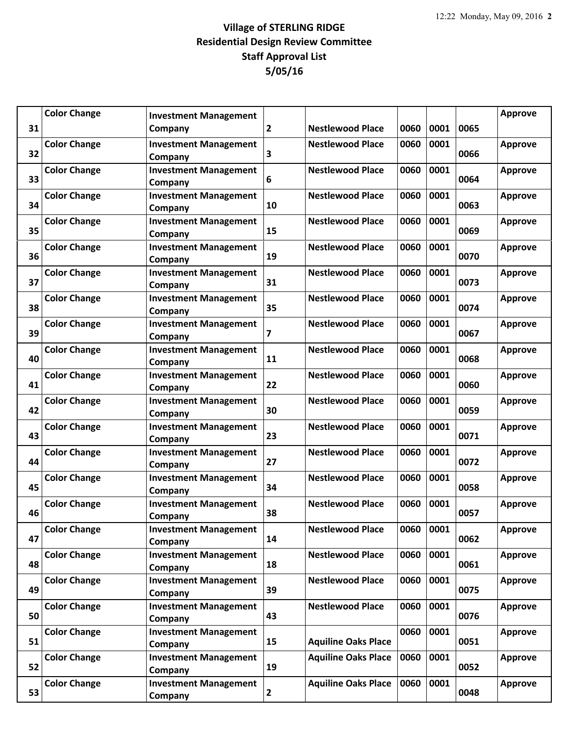|    | <b>Color Change</b> | <b>Investment Management</b>            |                         |                            |      |      |      | <b>Approve</b> |
|----|---------------------|-----------------------------------------|-------------------------|----------------------------|------|------|------|----------------|
| 31 |                     | Company                                 | 2                       | <b>Nestlewood Place</b>    | 0060 | 0001 | 0065 |                |
| 32 | <b>Color Change</b> | <b>Investment Management</b><br>Company | 3                       | <b>Nestlewood Place</b>    | 0060 | 0001 | 0066 | <b>Approve</b> |
| 33 | <b>Color Change</b> | <b>Investment Management</b><br>Company | 6                       | <b>Nestlewood Place</b>    | 0060 | 0001 | 0064 | <b>Approve</b> |
| 34 | <b>Color Change</b> | <b>Investment Management</b><br>Company | 10                      | <b>Nestlewood Place</b>    | 0060 | 0001 | 0063 | <b>Approve</b> |
| 35 | <b>Color Change</b> | <b>Investment Management</b><br>Company | 15                      | <b>Nestlewood Place</b>    | 0060 | 0001 | 0069 | <b>Approve</b> |
| 36 | <b>Color Change</b> | <b>Investment Management</b><br>Company | 19                      | <b>Nestlewood Place</b>    | 0060 | 0001 | 0070 | <b>Approve</b> |
| 37 | <b>Color Change</b> | <b>Investment Management</b><br>Company | 31                      | <b>Nestlewood Place</b>    | 0060 | 0001 | 0073 | <b>Approve</b> |
| 38 | <b>Color Change</b> | <b>Investment Management</b><br>Company | 35                      | <b>Nestlewood Place</b>    | 0060 | 0001 | 0074 | <b>Approve</b> |
| 39 | <b>Color Change</b> | <b>Investment Management</b><br>Company | $\overline{\mathbf{z}}$ | <b>Nestlewood Place</b>    | 0060 | 0001 | 0067 | <b>Approve</b> |
| 40 | <b>Color Change</b> | <b>Investment Management</b><br>Company | 11                      | <b>Nestlewood Place</b>    | 0060 | 0001 | 0068 | <b>Approve</b> |
| 41 | <b>Color Change</b> | <b>Investment Management</b><br>Company | 22                      | <b>Nestlewood Place</b>    | 0060 | 0001 | 0060 | <b>Approve</b> |
| 42 | <b>Color Change</b> | <b>Investment Management</b><br>Company | 30                      | <b>Nestlewood Place</b>    | 0060 | 0001 | 0059 | <b>Approve</b> |
| 43 | <b>Color Change</b> | <b>Investment Management</b><br>Company | 23                      | <b>Nestlewood Place</b>    | 0060 | 0001 | 0071 | <b>Approve</b> |
| 44 | <b>Color Change</b> | <b>Investment Management</b><br>Company | 27                      | <b>Nestlewood Place</b>    | 0060 | 0001 | 0072 | <b>Approve</b> |
| 45 | <b>Color Change</b> | <b>Investment Management</b><br>Company | 34                      | <b>Nestlewood Place</b>    | 0060 | 0001 | 0058 | <b>Approve</b> |
| 46 | <b>Color Change</b> | <b>Investment Management</b><br>Company | 38                      | <b>Nestlewood Place</b>    | 0060 | 0001 | 0057 | <b>Approve</b> |
| 47 | <b>Color Change</b> | <b>Investment Management</b><br>Company | 14                      | <b>Nestlewood Place</b>    | 0060 | 0001 | 0062 | <b>Approve</b> |
| 48 | <b>Color Change</b> | <b>Investment Management</b><br>Company | 18                      | <b>Nestlewood Place</b>    | 0060 | 0001 | 0061 | <b>Approve</b> |
| 49 | <b>Color Change</b> | <b>Investment Management</b><br>Company | 39                      | <b>Nestlewood Place</b>    | 0060 | 0001 | 0075 | <b>Approve</b> |
| 50 | <b>Color Change</b> | <b>Investment Management</b><br>Company | 43                      | <b>Nestlewood Place</b>    | 0060 | 0001 | 0076 | <b>Approve</b> |
| 51 | <b>Color Change</b> | <b>Investment Management</b><br>Company | 15                      | <b>Aquiline Oaks Place</b> | 0060 | 0001 | 0051 | <b>Approve</b> |
| 52 | <b>Color Change</b> | <b>Investment Management</b><br>Company | 19                      | <b>Aquiline Oaks Place</b> | 0060 | 0001 | 0052 | <b>Approve</b> |
| 53 | <b>Color Change</b> | <b>Investment Management</b><br>Company | $\overline{2}$          | <b>Aquiline Oaks Place</b> | 0060 | 0001 | 0048 | <b>Approve</b> |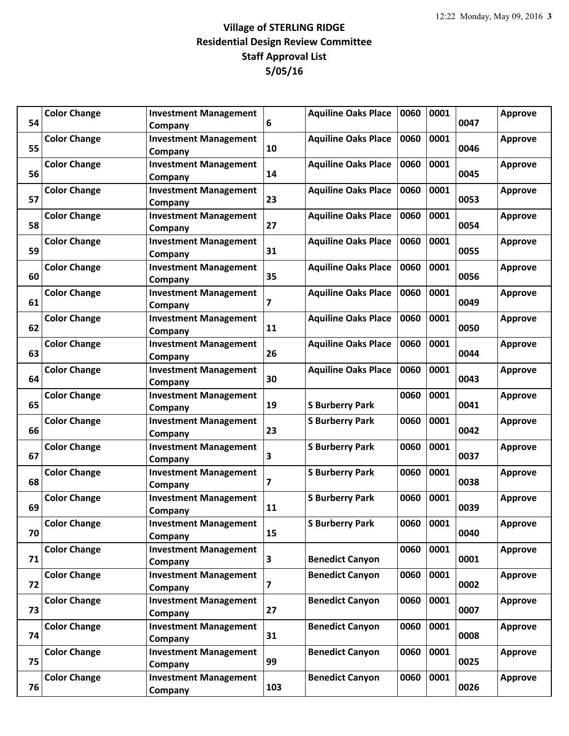| 54 | <b>Color Change</b> | <b>Investment Management</b><br>Company | 6   | <b>Aquiline Oaks Place</b> | 0060 | 0001 | 0047 | <b>Approve</b> |
|----|---------------------|-----------------------------------------|-----|----------------------------|------|------|------|----------------|
| 55 | <b>Color Change</b> | <b>Investment Management</b><br>Company | 10  | <b>Aquiline Oaks Place</b> | 0060 | 0001 | 0046 | <b>Approve</b> |
| 56 | <b>Color Change</b> | <b>Investment Management</b><br>Company | 14  | <b>Aquiline Oaks Place</b> | 0060 | 0001 | 0045 | <b>Approve</b> |
| 57 | <b>Color Change</b> | <b>Investment Management</b><br>Company | 23  | <b>Aquiline Oaks Place</b> | 0060 | 0001 | 0053 | <b>Approve</b> |
| 58 | <b>Color Change</b> | <b>Investment Management</b><br>Company | 27  | <b>Aquiline Oaks Place</b> | 0060 | 0001 | 0054 | <b>Approve</b> |
| 59 | <b>Color Change</b> | <b>Investment Management</b><br>Company | 31  | <b>Aquiline Oaks Place</b> | 0060 | 0001 | 0055 | <b>Approve</b> |
| 60 | <b>Color Change</b> | <b>Investment Management</b><br>Company | 35  | <b>Aquiline Oaks Place</b> | 0060 | 0001 | 0056 | <b>Approve</b> |
| 61 | <b>Color Change</b> | <b>Investment Management</b><br>Company | 7   | <b>Aquiline Oaks Place</b> | 0060 | 0001 | 0049 | <b>Approve</b> |
| 62 | <b>Color Change</b> | <b>Investment Management</b><br>Company | 11  | <b>Aquiline Oaks Place</b> | 0060 | 0001 | 0050 | <b>Approve</b> |
| 63 | <b>Color Change</b> | <b>Investment Management</b><br>Company | 26  | <b>Aquiline Oaks Place</b> | 0060 | 0001 | 0044 | <b>Approve</b> |
| 64 | <b>Color Change</b> | <b>Investment Management</b><br>Company | 30  | <b>Aquiline Oaks Place</b> | 0060 | 0001 | 0043 | <b>Approve</b> |
| 65 | <b>Color Change</b> | <b>Investment Management</b><br>Company | 19  | <b>S Burberry Park</b>     | 0060 | 0001 | 0041 | <b>Approve</b> |
| 66 | <b>Color Change</b> | <b>Investment Management</b><br>Company | 23  | <b>S Burberry Park</b>     | 0060 | 0001 | 0042 | <b>Approve</b> |
| 67 | <b>Color Change</b> | <b>Investment Management</b><br>Company | 3   | <b>S Burberry Park</b>     | 0060 | 0001 | 0037 | <b>Approve</b> |
| 68 | <b>Color Change</b> | <b>Investment Management</b><br>Company | 7   | <b>S Burberry Park</b>     | 0060 | 0001 | 0038 | <b>Approve</b> |
| 69 | <b>Color Change</b> | <b>Investment Management</b><br>Company | 11  | <b>S Burberry Park</b>     | 0060 | 0001 | 0039 | <b>Approve</b> |
| 70 | <b>Color Change</b> | <b>Investment Management</b><br>Company | 15  | <b>S Burberry Park</b>     | 0060 | 0001 | 0040 | <b>Approve</b> |
| 71 | <b>Color Change</b> | <b>Investment Management</b><br>Company | 3   | <b>Benedict Canyon</b>     | 0060 | 0001 | 0001 | <b>Approve</b> |
| 72 | <b>Color Change</b> | <b>Investment Management</b><br>Company | 7   | <b>Benedict Canyon</b>     | 0060 | 0001 | 0002 | <b>Approve</b> |
| 73 | <b>Color Change</b> | <b>Investment Management</b><br>Company | 27  | <b>Benedict Canyon</b>     | 0060 | 0001 | 0007 | <b>Approve</b> |
| 74 | <b>Color Change</b> | <b>Investment Management</b><br>Company | 31  | <b>Benedict Canyon</b>     | 0060 | 0001 | 0008 | <b>Approve</b> |
| 75 | <b>Color Change</b> | <b>Investment Management</b><br>Company | 99  | <b>Benedict Canyon</b>     | 0060 | 0001 | 0025 | <b>Approve</b> |
| 76 | <b>Color Change</b> | <b>Investment Management</b><br>Company | 103 | <b>Benedict Canyon</b>     | 0060 | 0001 | 0026 | Approve        |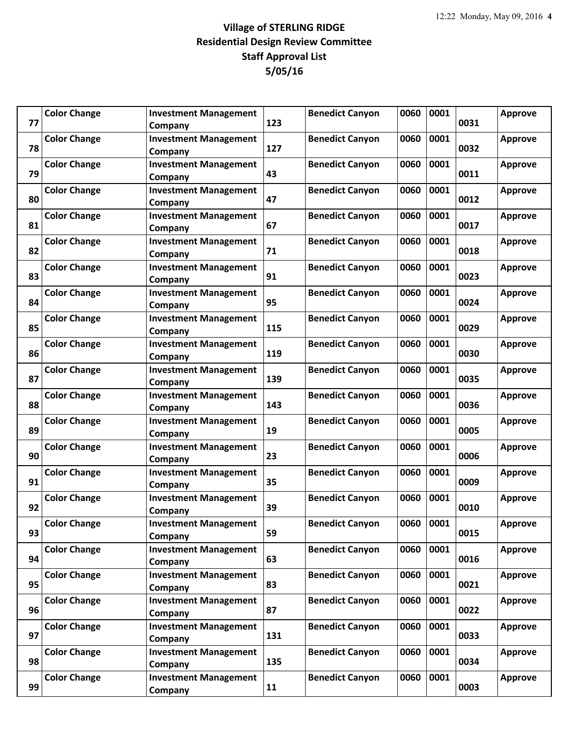| 77 | <b>Color Change</b> | <b>Investment Management</b><br>Company | 123 | <b>Benedict Canyon</b> | 0060      | 0001 | 0031 | <b>Approve</b> |
|----|---------------------|-----------------------------------------|-----|------------------------|-----------|------|------|----------------|
| 78 | <b>Color Change</b> | <b>Investment Management</b><br>Company | 127 | <b>Benedict Canyon</b> | 0060      | 0001 | 0032 | Approve        |
| 79 | <b>Color Change</b> | <b>Investment Management</b><br>Company | 43  | <b>Benedict Canyon</b> | 0060      | 0001 | 0011 | <b>Approve</b> |
| 80 | <b>Color Change</b> | <b>Investment Management</b><br>Company | 47  | <b>Benedict Canyon</b> | 0060      | 0001 | 0012 | <b>Approve</b> |
| 81 | <b>Color Change</b> | <b>Investment Management</b><br>Company | 67  | <b>Benedict Canyon</b> | 0060      | 0001 | 0017 | <b>Approve</b> |
| 82 | <b>Color Change</b> | <b>Investment Management</b><br>Company | 71  | <b>Benedict Canyon</b> | 0060      | 0001 | 0018 | <b>Approve</b> |
| 83 | <b>Color Change</b> | <b>Investment Management</b><br>Company | 91  | <b>Benedict Canyon</b> | 0060      | 0001 | 0023 | <b>Approve</b> |
| 84 | <b>Color Change</b> | <b>Investment Management</b><br>Company | 95  | <b>Benedict Canyon</b> | 0060      | 0001 | 0024 | <b>Approve</b> |
| 85 | <b>Color Change</b> | <b>Investment Management</b><br>Company | 115 | <b>Benedict Canyon</b> | 0060      | 0001 | 0029 | <b>Approve</b> |
| 86 | <b>Color Change</b> | <b>Investment Management</b><br>Company | 119 | <b>Benedict Canyon</b> | 0060      | 0001 | 0030 | <b>Approve</b> |
| 87 | <b>Color Change</b> | <b>Investment Management</b><br>Company | 139 | <b>Benedict Canyon</b> | 0060      | 0001 | 0035 | <b>Approve</b> |
| 88 | <b>Color Change</b> | <b>Investment Management</b><br>Company | 143 | <b>Benedict Canyon</b> | 0060      | 0001 | 0036 | <b>Approve</b> |
| 89 | <b>Color Change</b> | <b>Investment Management</b><br>Company | 19  | <b>Benedict Canyon</b> | 0060      | 0001 | 0005 | <b>Approve</b> |
| 90 | <b>Color Change</b> | <b>Investment Management</b><br>Company | 23  | <b>Benedict Canyon</b> | 0060      | 0001 | 0006 | <b>Approve</b> |
| 91 | <b>Color Change</b> | <b>Investment Management</b><br>Company | 35  | <b>Benedict Canyon</b> | 0060      | 0001 | 0009 | <b>Approve</b> |
| 92 | <b>Color Change</b> | <b>Investment Management</b><br>Company | 39  | <b>Benedict Canyon</b> | 0060      | 0001 | 0010 | <b>Approve</b> |
| 93 | <b>Color Change</b> | <b>Investment Management</b><br>Company | 59  | <b>Benedict Canyon</b> | 0060 0001 |      | 0015 | <b>Approve</b> |
| 94 | <b>Color Change</b> | <b>Investment Management</b><br>Company | 63  | <b>Benedict Canyon</b> | 0060      | 0001 | 0016 | <b>Approve</b> |
| 95 | <b>Color Change</b> | <b>Investment Management</b><br>Company | 83  | <b>Benedict Canyon</b> | 0060      | 0001 | 0021 | <b>Approve</b> |
| 96 | <b>Color Change</b> | <b>Investment Management</b><br>Company | 87  | <b>Benedict Canyon</b> | 0060      | 0001 | 0022 | <b>Approve</b> |
| 97 | <b>Color Change</b> | <b>Investment Management</b><br>Company | 131 | <b>Benedict Canyon</b> | 0060      | 0001 | 0033 | <b>Approve</b> |
| 98 | <b>Color Change</b> | <b>Investment Management</b><br>Company | 135 | <b>Benedict Canyon</b> | 0060      | 0001 | 0034 | <b>Approve</b> |
| 99 | <b>Color Change</b> | <b>Investment Management</b><br>Company | 11  | <b>Benedict Canyon</b> | 0060      | 0001 | 0003 | <b>Approve</b> |